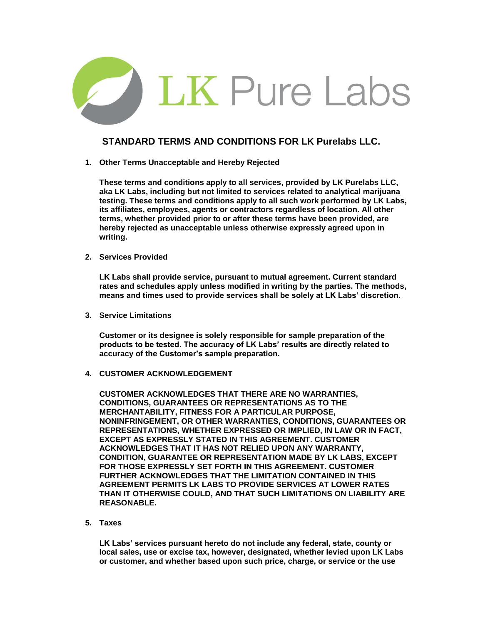

## **STANDARD TERMS AND CONDITIONS FOR LK Purelabs LLC.**

**1. Other Terms Unacceptable and Hereby Rejected** 

**These terms and conditions apply to all services, provided by LK Purelabs LLC, aka LK Labs, including but not limited to services related to analytical marijuana testing. These terms and conditions apply to all such work performed by LK Labs, its affiliates, employees, agents or contractors regardless of location. All other terms, whether provided prior to or after these terms have been provided, are hereby rejected as unacceptable unless otherwise expressly agreed upon in writing.** 

**2. Services Provided** 

**LK Labs shall provide service, pursuant to mutual agreement. Current standard rates and schedules apply unless modified in writing by the parties. The methods, means and times used to provide services shall be solely at LK Labs' discretion.** 

**3. Service Limitations** 

**Customer or its designee is solely responsible for sample preparation of the products to be tested. The accuracy of LK Labs' results are directly related to accuracy of the Customer's sample preparation.** 

**4. CUSTOMER ACKNOWLEDGEMENT** 

**CUSTOMER ACKNOWLEDGES THAT THERE ARE NO WARRANTIES, CONDITIONS, GUARANTEES OR REPRESENTATIONS AS TO THE MERCHANTABILITY, FITNESS FOR A PARTICULAR PURPOSE, NONINFRINGEMENT, OR OTHER WARRANTIES, CONDITIONS, GUARANTEES OR REPRESENTATIONS, WHETHER EXPRESSED OR IMPLIED, IN LAW OR IN FACT, EXCEPT AS EXPRESSLY STATED IN THIS AGREEMENT. CUSTOMER ACKNOWLEDGES THAT IT HAS NOT RELIED UPON ANY WARRANTY, CONDITION, GUARANTEE OR REPRESENTATION MADE BY LK LABS, EXCEPT FOR THOSE EXPRESSLY SET FORTH IN THIS AGREEMENT. CUSTOMER FURTHER ACKNOWLEDGES THAT THE LIMITATION CONTAINED IN THIS AGREEMENT PERMITS LK LABS TO PROVIDE SERVICES AT LOWER RATES THAN IT OTHERWISE COULD, AND THAT SUCH LIMITATIONS ON LIABILITY ARE REASONABLE.** 

**5. Taxes** 

**LK Labs' services pursuant hereto do not include any federal, state, county or local sales, use or excise tax, however, designated, whether levied upon LK Labs or customer, and whether based upon such price, charge, or service or the use**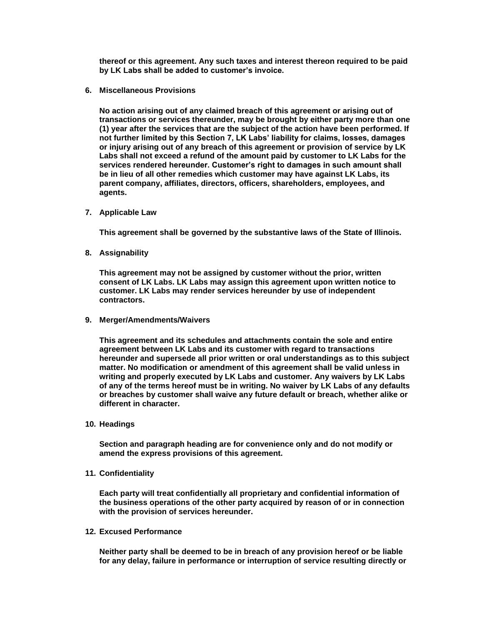**thereof or this agreement. Any such taxes and interest thereon required to be paid by LK Labs shall be added to customer's invoice.** 

**6. Miscellaneous Provisions** 

**No action arising out of any claimed breach of this agreement or arising out of transactions or services thereunder, may be brought by either party more than one (1) year after the services that are the subject of the action have been performed. If not further limited by this Section 7, LK Labs' liability for claims, losses, damages or injury arising out of any breach of this agreement or provision of service by LK Labs shall not exceed a refund of the amount paid by customer to LK Labs for the services rendered hereunder. Customer's right to damages in such amount shall be in lieu of all other remedies which customer may have against LK Labs, its parent company, affiliates, directors, officers, shareholders, employees, and agents.** 

**7. Applicable Law** 

**This agreement shall be governed by the substantive laws of the State of Illinois.** 

**8. Assignability** 

**This agreement may not be assigned by customer without the prior, written consent of LK Labs. LK Labs may assign this agreement upon written notice to customer. LK Labs may render services hereunder by use of independent contractors.** 

**9. Merger/Amendments/Waivers** 

**This agreement and its schedules and attachments contain the sole and entire agreement between LK Labs and its customer with regard to transactions hereunder and supersede all prior written or oral understandings as to this subject matter. No modification or amendment of this agreement shall be valid unless in writing and properly executed by LK Labs and customer. Any waivers by LK Labs of any of the terms hereof must be in writing. No waiver by LK Labs of any defaults or breaches by customer shall waive any future default or breach, whether alike or different in character.** 

**10. Headings** 

**Section and paragraph heading are for convenience only and do not modify or amend the express provisions of this agreement.** 

**11. Confidentiality** 

**Each party will treat confidentially all proprietary and confidential information of the business operations of the other party acquired by reason of or in connection with the provision of services hereunder.** 

**12. Excused Performance** 

**Neither party shall be deemed to be in breach of any provision hereof or be liable for any delay, failure in performance or interruption of service resulting directly or**